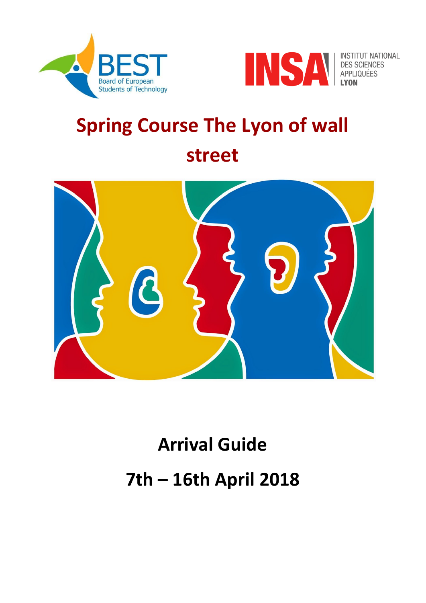<span id="page-0-0"></span>



INSTITUT NATIONAL<br>DES SCIENCES<br>APPLIQUÉES

## **Spring Course The Lyon of wall street**



# **Arrival Guide 7th – 16th April 2018**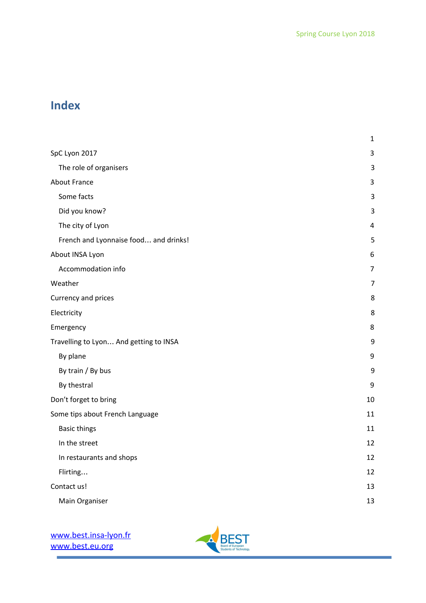## **Index**

|                                        | $\mathbf 1$ |
|----------------------------------------|-------------|
| SpC Lyon 2017                          | $\mathsf 3$ |
| The role of organisers                 | 3           |
| <b>About France</b>                    | 3           |
| Some facts                             | 3           |
| Did you know?                          | 3           |
| The city of Lyon                       | $\pmb{4}$   |
| French and Lyonnaise food and drinks!  | 5           |
| About INSA Lyon                        | 6           |
| Accommodation info                     | 7           |
| Weather                                | 7           |
| Currency and prices                    | 8           |
| Electricity                            | 8           |
| Emergency                              | 8           |
| Travelling to Lyon And getting to INSA | 9           |
| By plane                               | 9           |
| By train / By bus                      | 9           |
| By thestral                            | $9\,$       |
| Don't forget to bring                  | 10          |
| Some tips about French Language        | 11          |
| <b>Basic things</b>                    | 11          |
| In the street                          | 12          |
| In restaurants and shops               | 12          |
| Flirting                               | 12          |
| Contact us!                            | 13          |
| Main Organiser                         | 13          |

i.

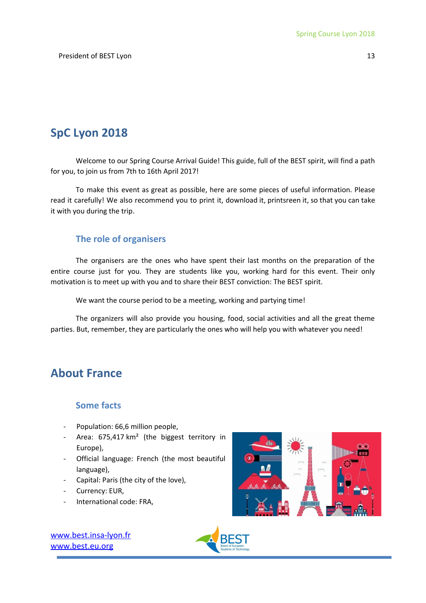## <span id="page-2-0"></span>**SpC Lyon 2018**

Welcome to our Spring Course Arrival Guide! This guide, full of the BEST spirit, will find a path for you, to join us from 7th to 16th April 2017!

To make this event as great as possible, here are some pieces of useful information. Please read it carefully! We also recommend you to print it, download it, printsreen it, so that you can take it with you during the trip.

#### <span id="page-2-1"></span>**The role of organisers**

The organisers are the ones who have spent their last months on the preparation of the entire course just for you. They are students like you, working hard for this event. Their only motivation is to meet up with you and to share their BEST conviction: The BEST spirit.

We want the course period to be a meeting, working and partying time!

The organizers will also provide you housing, food, social activities and all the great theme parties. But, remember, they are particularly the ones who will help you with whatever you need!

## <span id="page-2-2"></span>**About France**

#### <span id="page-2-3"></span>**Some facts**

- Population: 66,6 million people,
- Area: 675,417 km<sup>2</sup> (the biggest territory in Europe),
- Official language: French (the most beautiful language),
- Capital: Paris (the city of the love),
- Currency: EUR,
- International code: FRA,



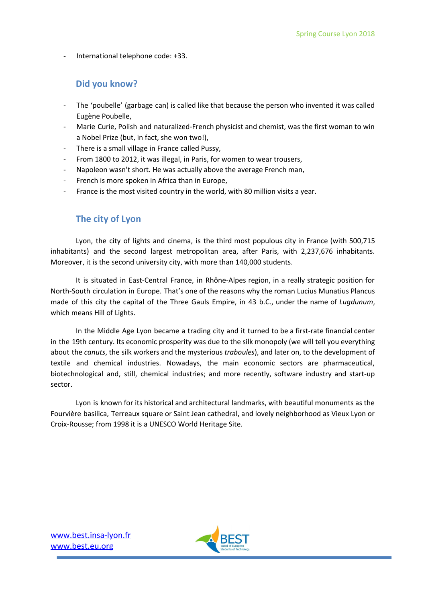<span id="page-3-0"></span>- International telephone code: +33.

#### **Did you know?**

- The 'poubelle' (garbage can) is called like that because the person who invented it was called Eugène Poubelle,
- Marie Curie, Polish and [naturalized-French](https://en.wikipedia.org/wiki/Polish_minority_in_France) [physicist](https://en.wikipedia.org/wiki/Physicist) and [chemist,](https://en.wikipedia.org/wiki/Chemist) was the first [woman](https://en.wikipedia.org/wiki/List_of_female_Nobel_laureates) to win a [Nobel](https://en.wikipedia.org/wiki/List_of_female_Nobel_laureates) Prize (but, in fact, she won two!),
- There is a small village in France called Pussy,
- From 1800 to 2012, it was illegal, in Paris, for women to wear trousers,
- Napoleon wasn't short. He was actually above the average French man,
- French is more spoken in Africa than in Europe,
- <span id="page-3-1"></span>France is the most visited country in the world, with 80 million visits a year.

#### **The city of Lyon**

Lyon, the city of lights and cinema, is the third most populous city in France (with 500,715 inhabitants) and the second largest metropolitan area, after Paris, with 2,237,676 inhabitants. Moreover, it is the second university city, with more than 140,000 students.

It is situated in East-Central France, in Rhône-Alpes region, in a really strategic position for North-South circulation in Europe. That's one of the reasons why the roman Lucius Munatius Plancus made of this city the capital of the Three Gauls Empire, in 43 b.C., under the name of *Lugdunum*, which means Hill of Lights.

In the Middle Age Lyon became a trading city and it turned to be a first-rate financial center in the 19th century. Its economic prosperity was due to the silk monopoly (we will tell you everything about the *canuts*, the silk workers and the mysterious *traboules*), and later on, to the development of textile and chemical industries. Nowadays, the main economic sectors are pharmaceutical, biotechnological and, still, chemical industries; and more recently, software industry and start-up sector.

Lyon is known for its historical and architectural landmarks, with beautiful monuments as the Fourvière basilica, Terreaux square or Saint Jean cathedral, and lovely neighborhood as Vieux Lyon or Croix-Rousse; from 1998 it is a UNESCO World Heritage Site.

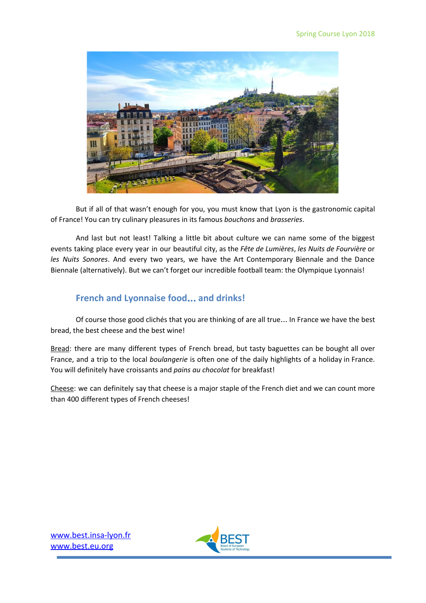

But if all of that wasn't enough for you, you must know that Lyon is the gastronomic capital of France! You can try culinary pleasures in its famous *bouchons* and *brasseries*.

And last but not least! Talking a little bit about culture we can name some of the biggest events taking place every year in our beautiful city, as the *Fête de Lumières*, *les Nuits de Fourvière* or *les Nuits Sonores*. And every two years, we have the Art Contemporary Biennale and the Dance Biennale (alternatively). But we can't forget our incredible football team: the Olympique Lyonnais!

#### <span id="page-4-0"></span>**French and Lyonnaise food**… **and drinks!**

Of course those good clichés that you are thinking of are all true… In France we have the best bread, the best cheese and the best wine!

Bread: there are many different types of French bread, but tasty baguettes can be bought all over France, and a trip to the local *boulangerie* is often one of the daily highlights of a holiday in France. You will definitely have croissants and *pains au chocolat* for breakfast!

Cheese: we can definitely say that cheese is a major staple of the French diet and we can count more than 400 different types of French cheeses!

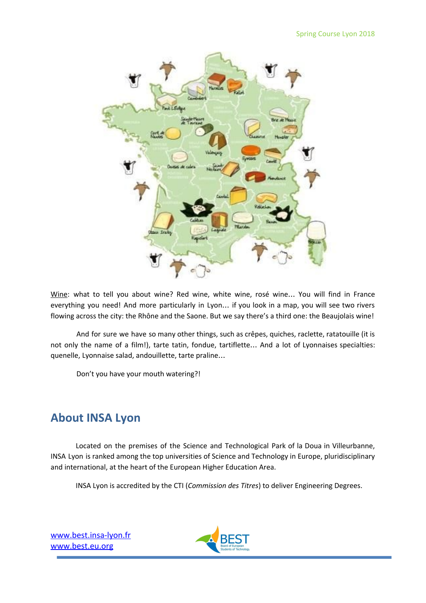

Wine: what to tell you about wine? Red wine, white wine, rosé wine... You will find in France everything you need! And more particularly in Lyon… if you look in a map, you will see two rivers flowing across the city: the Rhône and the Saone. But we say there's a third one: the Beaujolais wine!

And for sure we have so many other things, such as crêpes, quiches, raclette, ratatouille (it is not only the name of a film!), tarte tatin, fondue, tartiflette… And a lot of Lyonnaises specialties: quenelle, Lyonnaise salad, andouillette, tarte praline…

Don't you have your mouth watering?!

## <span id="page-5-0"></span>**About INSA Lyon**

Located on the premises of the Science and Technological Park of la Doua in Villeurbanne, INSA Lyon is ranked among the top universities of Science and Technology in Europe, pluridisciplinary and international, at the heart of the European Higher Education Area.

INSA Lyon is accredited by the CTI (*Commission des Titres*) to deliver Engineering Degrees.

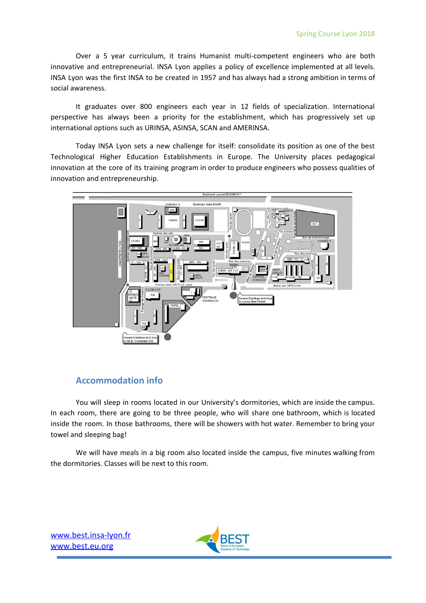Over a 5 year curriculum, it trains Humanist multi-competent engineers who are both innovative and entrepreneurial. INSA Lyon applies a policy of excellence implemented at all levels. INSA Lyon was the first INSA to be created in 1957 and has always had a strong ambition in terms of social awareness.

It graduates over 800 engineers each year in 12 fields of specialization. International perspective has always been a priority for the establishment, which has progressively set up international options such as URINSA, ASINSA, SCAN and AMERINSA.

Today INSA Lyon sets a new challenge for itself: consolidate its position as one of the best Technological Higher Education Establishments in Europe. The University places pedagogical innovation at the core of its training program in order to produce engineers who possess qualities of innovation and entrepreneurship.



#### <span id="page-6-0"></span>**Accommodation info**

You will sleep in rooms located in our University's dormitories, which are inside the campus. In each room, there are going to be three people, who will share one bathroom, which is located inside the room. In those bathrooms, there will be showers with hot water. Remember to bring your towel and sleeping bag!

We will have meals in a big room also located inside the campus, five minutes walking from the dormitories. Classes will be next to this room.

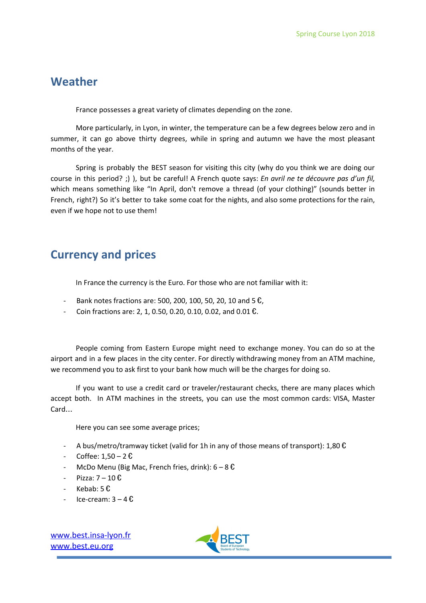## <span id="page-7-0"></span>**Weather**

France possesses a great variety of climates depending on the zone.

More particularly, in Lyon, in winter, the temperature can be a few degrees below zero and in summer, it can go above thirty degrees, while in spring and autumn we have the most pleasant months of the year.

Spring is probably the BEST season for visiting this city (why do you think we are doing our course in this period? ;) ), but be careful! A French quote says: *En avril ne te découvre pas d'un fil,* which means something like "In April, don't remove a thread (of your clothing)" (sounds better in French, right?) So it's better to take some coat for the nights, and also some protections for the rain, even if we hope not to use them!

## <span id="page-7-1"></span>**Currency and prices**

In France the currency is the Euro. For those who are not familiar with it:

- Bank notes fractions are: 500, 200, 100, 50, 20, 10 and 5  $\epsilon$ ,
- Coin fractions are: 2, 1, 0.50, 0.20, 0.10, 0.02, and 0.01  $\text{E}$ .

People coming from Eastern Europe might need to exchange money. You can do so at the airport and in a few places in the city center. For directly withdrawing money from an ATM machine, we recommend you to ask first to your bank how much will be the charges for doing so.

If you want to use a credit card or traveler/restaurant checks, there are many places which accept both. In ATM machines in the streets, you can use the most common cards: VISA, Master Card…

Here you can see some average prices;

- A bus/metro/tramway ticket (valid for 1h in any of those means of transport): 1,80  $\epsilon$
- Coffee: 1,50 2 €
- McDo Menu (Big Mac, French fries, drink):  $6 8 \mathcal{L}$
- Pizza:  $7 10$   $\epsilon$
- Kebab:  $5 \text{ } \mathbf{\mathbf{\mathcal{E}}}$
- Ice-cream:  $3 4$   $\epsilon$

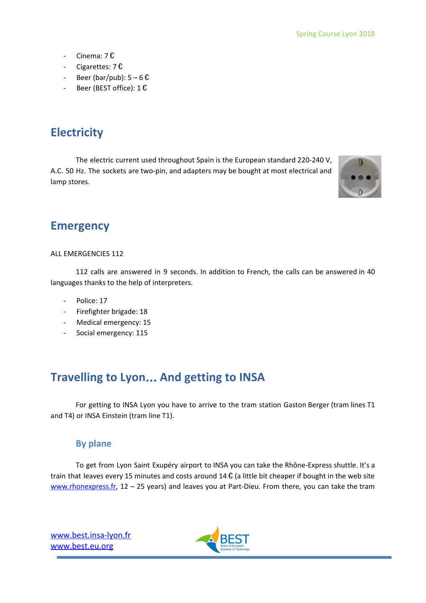- Cinema: 7 €
- Cigarettes: 7 €
- Beer (bar/pub):  $5-6$   $\text{\textsterling}$
- <span id="page-8-0"></span>- Beer (BEST office):  $1 \mathbf{\textsterling}$

## **Electricity**

The electric current used throughout Spain is the European standard 220-240 V, A.C. 50 Hz. The sockets are two-pin, and adapters may be bought at most electrical and lamp stores.



## <span id="page-8-1"></span>**Emergency**

#### ALL EMERGENCIES 112

112 calls are answered in 9 seconds. In addition to French, the calls can be answered in 40 languages thanks to the help of interpreters.

- Police: 17
- Firefighter brigade: 18
- Medical emergency: 15
- <span id="page-8-2"></span>Social emergency: 115

## **Travelling to Lyon**… **And getting to INSA**

For getting to INSA Lyon you have to arrive to the tram station Gaston Berger (tram lines T1 and T4) or INSA Einstein (tram line T1).

#### <span id="page-8-3"></span>**By plane**

To get from Lyon Saint Exupéry airport to INSA you can take the Rhône-Express shuttle. It's a train that leaves every 15 minutes and costs around 14  $\epsilon$  (a little bit cheaper if bought in the web site [www.rhonexpress.fr](http://www.rhonexpress.fr/), 12 - 25 years) and leaves you at Part-Dieu. From there, you can take the tram

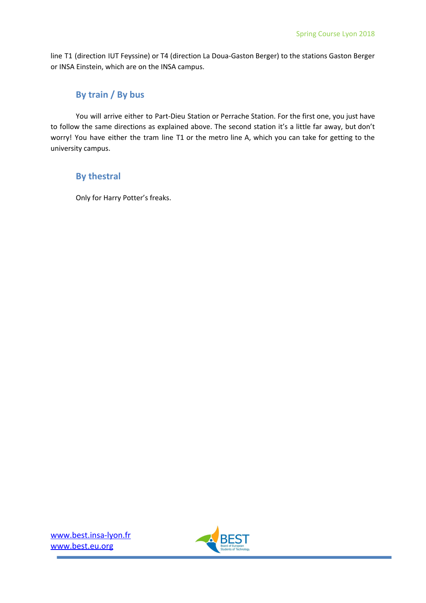line T1 (direction IUT Feyssine) or T4 (direction La Doua-Gaston Berger) to the stations Gaston Berger or INSA Einstein, which are on the INSA campus.

#### <span id="page-9-0"></span>**By train / By bus**

You will arrive either to Part-Dieu Station or Perrache Station. For the first one, you just have to follow the same directions as explained above. The second station it's a little far away, but don't worry! You have either the tram line T1 or the metro line A, which you can take for getting to the university campus.

#### <span id="page-9-1"></span>**By thestral**

Only for Harry Potter's freaks.

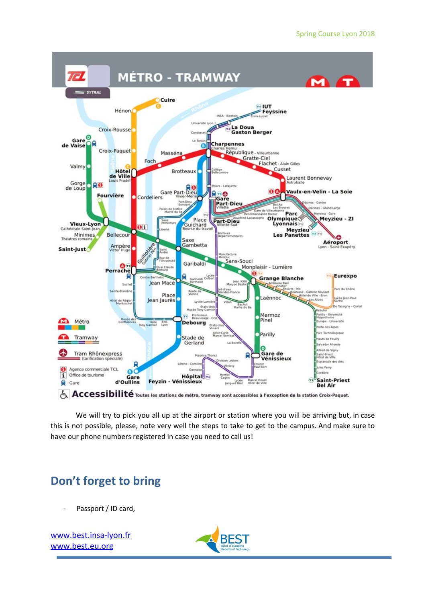

We will try to pick you all up at the airport or station where you will be arriving but, in case this is not possible, please, note very well the steps to take to get to the campus. And make sure to have our phone numbers registered in case you need to call us!

## <span id="page-10-0"></span>**Don't forget to bring**

Passport / ID card,

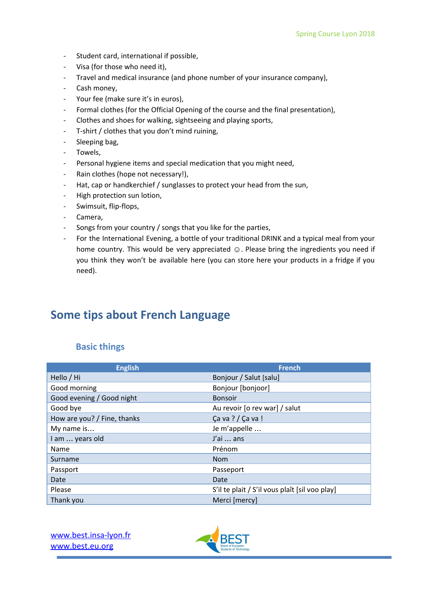- Student card, international if possible,
- Visa (for those who need it),
- Travel and medical insurance (and phone number of your insurance company),
- Cash money,
- Your fee (make sure it's in euros),
- Formal clothes (for the Official Opening of the course and the final presentation),
- Clothes and shoes for walking, sightseeing and playing sports,
- T-shirt / clothes that you don't mind ruining,
- Sleeping bag,
- Towels,
- Personal hygiene items and special medication that you might need,
- Rain clothes (hope not necessary!),
- Hat, cap or handkerchief / sunglasses to protect your head from the sun,
- High protection sun lotion,
- Swimsuit, flip-flops,
- Camera,
- Songs from your country / songs that you like for the parties,
- For the International Evening, a bottle of your traditional DRINK and a typical meal from your home country. This would be very appreciated ☺. Please bring the ingredients you need if you think they won't be available here (you can store here your products in a fridge if you need).

## <span id="page-11-0"></span>**Some tips about French Language**

#### <span id="page-11-1"></span>**Basic things**

| <b>English</b>              | <b>French</b>                                  |
|-----------------------------|------------------------------------------------|
| Hello / Hi                  | Bonjour / Salut [salu]                         |
| Good morning                | Bonjour [bonjoor]                              |
| Good evening / Good night   | <b>Bonsoir</b>                                 |
| Good bye                    | Au revoir [o rev war] / salut                  |
| How are you? / Fine, thanks | Ca va ? / Ca va !                              |
| My name is                  | Je m'appelle                                   |
| am  years old               | J'ai  ans                                      |
| Name                        | Prénom                                         |
| Surname                     | <b>Nom</b>                                     |
| Passport                    | Passeport                                      |
| Date                        | Date                                           |
| Please                      | S'il te plait / S'il vous plaît [sil voo play] |
| Thank you                   | Merci [mercy]                                  |

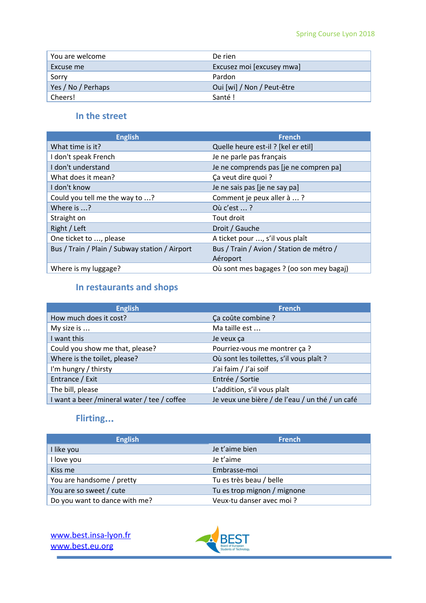| You are welcome    | De rien                    |
|--------------------|----------------------------|
| Excuse me          | Excusez moi [excusey mwa]  |
| Sorry              | Pardon                     |
| Yes / No / Perhaps | Oui [wi] / Non / Peut-être |
| Cheers!            | Santé!                     |

#### <span id="page-12-0"></span>**In the street**

| <b>English</b>                                 | <b>French</b>                            |
|------------------------------------------------|------------------------------------------|
| What time is it?                               | Quelle heure est-il ? [kel er etil]      |
| I don't speak French                           | Je ne parle pas français                 |
| I don't understand                             | Je ne comprends pas [je ne compren pa]   |
| What does it mean?                             | Ça veut dire quoi ?                      |
| I don't know                                   | Je ne sais pas [je ne say pa]            |
| Could you tell me the way to ?                 | Comment je peux aller à ?                |
| Where is $\ldots$ ?                            | $0\mathring{u}$ c'est $\ldots$ ?         |
| Straight on                                    | Tout droit                               |
| Right / Left                                   | Droit / Gauche                           |
| One ticket to , please                         | A ticket pour , s'il vous plaît          |
| Bus / Train / Plain / Subway station / Airport | Bus / Train / Avion / Station de métro / |
|                                                | Aéroport                                 |
| Where is my luggage?                           | Où sont mes bagages ? (oo son mey bagaj) |

### <span id="page-12-1"></span>**In restaurants and shops**

| <b>English</b>                              | <b>French</b>                                   |
|---------------------------------------------|-------------------------------------------------|
| How much does it cost?                      | Ça coûte combine ?                              |
| My size is                                  | Ma taille est                                   |
| I want this                                 | Je veux ça                                      |
| Could you show me that, please?             | Pourriez-vous me montrer ça ?                   |
| Where is the toilet, please?                | Où sont les toilettes, s'il vous plaît ?        |
| I'm hungry / thirsty                        | J'ai faim / J'ai soif                           |
| Entrance / Exit                             | Entrée / Sortie                                 |
| The bill, please                            | L'addition, s'il vous plaît                     |
| I want a beer /mineral water / tee / coffee | Je veux une bière / de l'eau / un thé / un café |

### <span id="page-12-2"></span>**Flirting**…

| <b>English</b>                | <b>French</b>               |
|-------------------------------|-----------------------------|
| I like you                    | Je t'aime bien              |
| I love you                    | Je t'aime                   |
| Kiss me                       | Embrasse-moi                |
| You are handsome / pretty     | Tu es très beau / belle     |
| You are so sweet / cute       | Tu es trop mignon / mignone |
| Do you want to dance with me? | Veux-tu danser avec moi?    |

[www.best.insa-lyon.fr](http://www.best.insa-lyon.fr/) [www.best.eu.org](http://www.best.eu.org/)

 $\overline{a}$